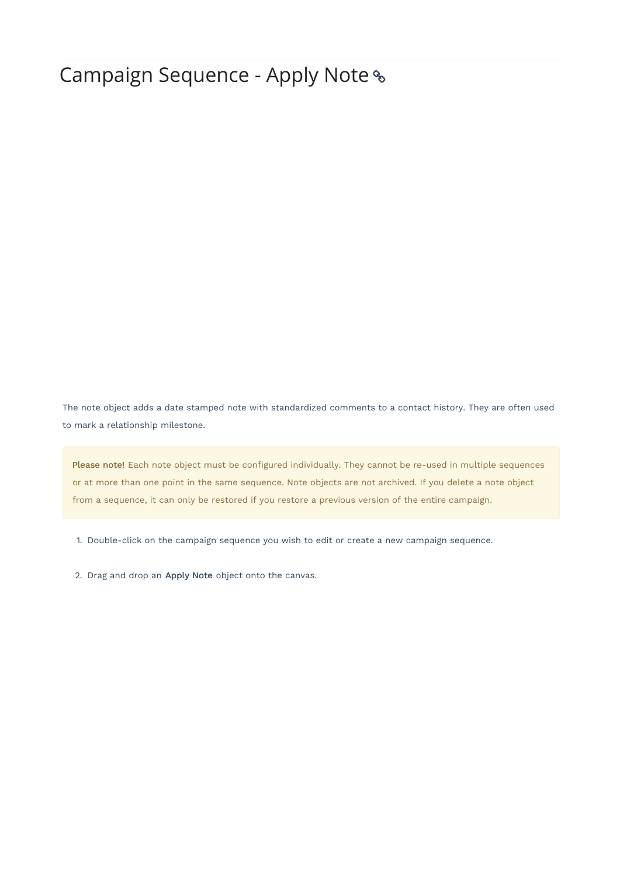## Campaign Sequence - Apply Note

The note object adds a date stamped note with standardized comments to a contact history. They are often used to mark a relationship milestone.

Please note! Each note object must be configured individually. They cannot be re-used in multiple sequences or at more than one point in the same sequence. Note objects are not archived. If you delete a note object from a sequence, it can only be restored if you restore a previous version of the entire campaign.

1. Double-click on the campaign sequence you wish to edit or create a new campaign sequence.

2. Drag and drop an Apply Note object onto the canvas.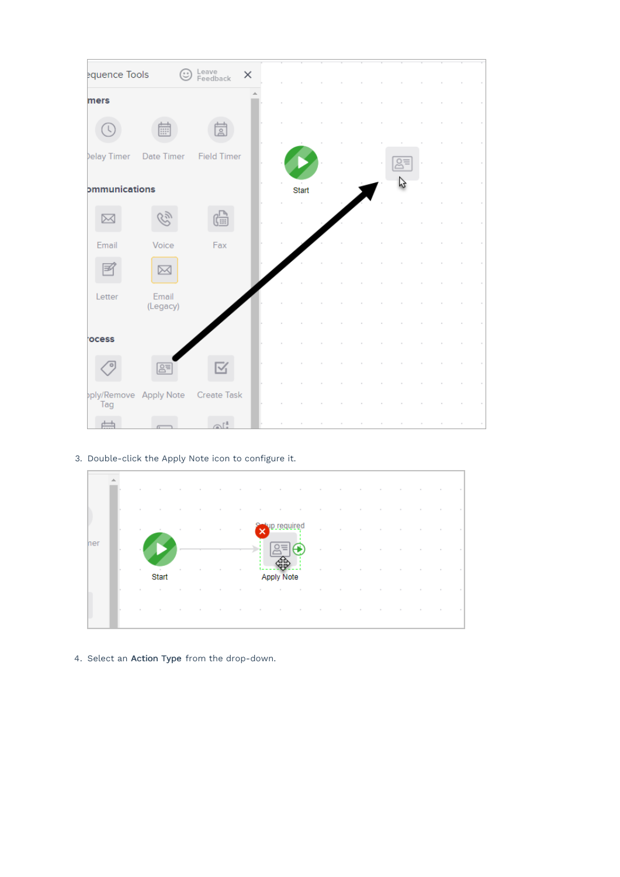| equence Tools        | ☺                                  | Leave<br>Feedback             | $\times$ |       |  |  |  |  |  |
|----------------------|------------------------------------|-------------------------------|----------|-------|--|--|--|--|--|
| mers                 |                                    |                               |          |       |  |  |  |  |  |
|                      |                                    | $\frac{1}{2}$                 |          |       |  |  |  |  |  |
| Jelay Timer          | Date Timer                         | <b>Field Timer</b>            |          |       |  |  |  |  |  |
| <b>ommunications</b> |                                    |                               |          | Start |  |  |  |  |  |
| ⋉                    | 52)                                | 偏                             |          |       |  |  |  |  |  |
| Email                | Voice                              | Fax                           |          |       |  |  |  |  |  |
|                      | ⋉                                  |                               |          |       |  |  |  |  |  |
| Letter               | Email<br>(Legacy)                  |                               |          |       |  |  |  |  |  |
|                      |                                    |                               |          |       |  |  |  |  |  |
| ocess                |                                    |                               |          |       |  |  |  |  |  |
|                      | $B =$                              | $\overline{\mathbb{V}}_1$     |          |       |  |  |  |  |  |
| Tag                  | pply/Remove Apply Note Create Task |                               |          |       |  |  |  |  |  |
|                      |                                    | $\bigcap_{\alpha=1}^{\infty}$ |          |       |  |  |  |  |  |

3. Double-click the Apply Note icon to configure it.



4. Select an Action Type from the drop-down.